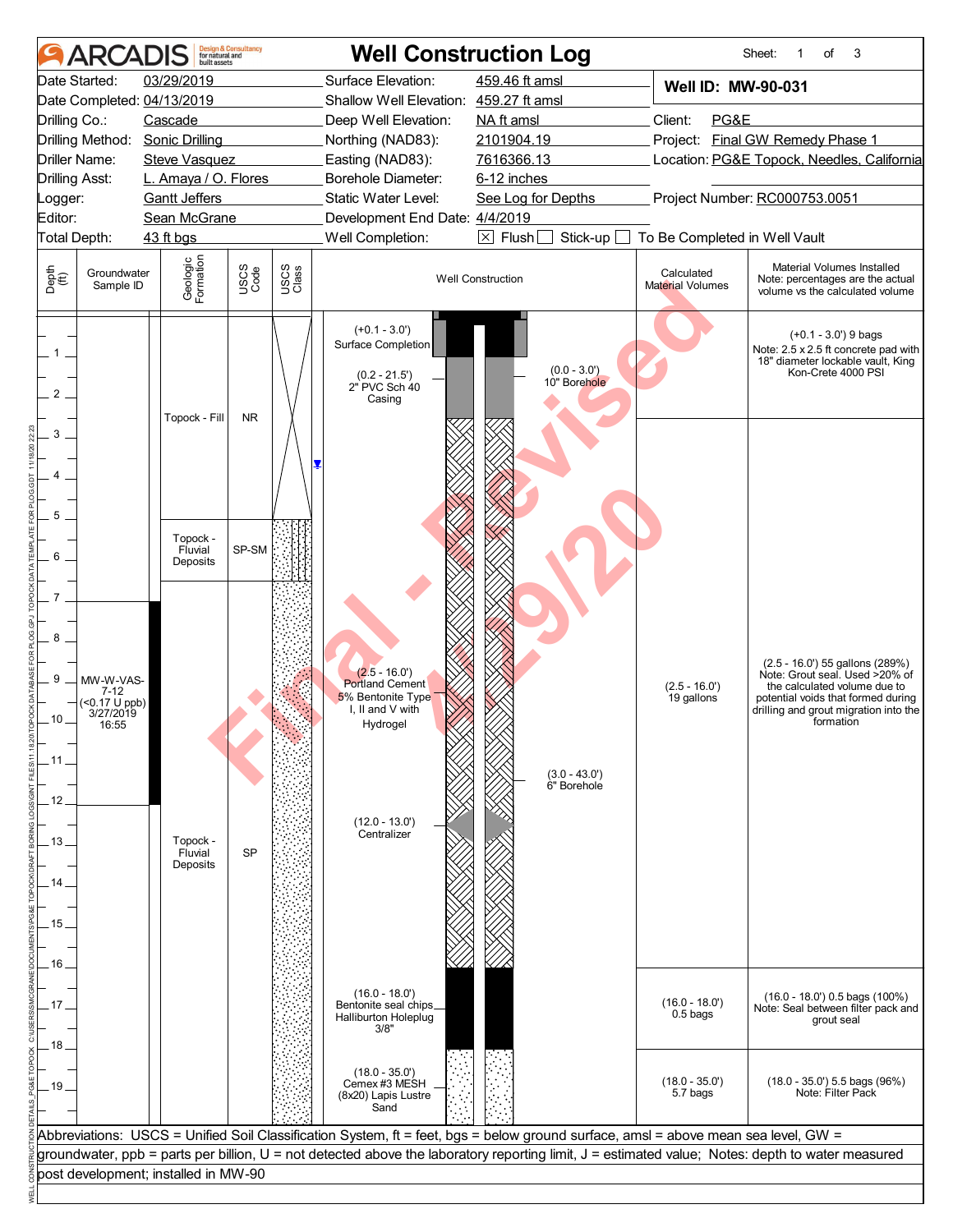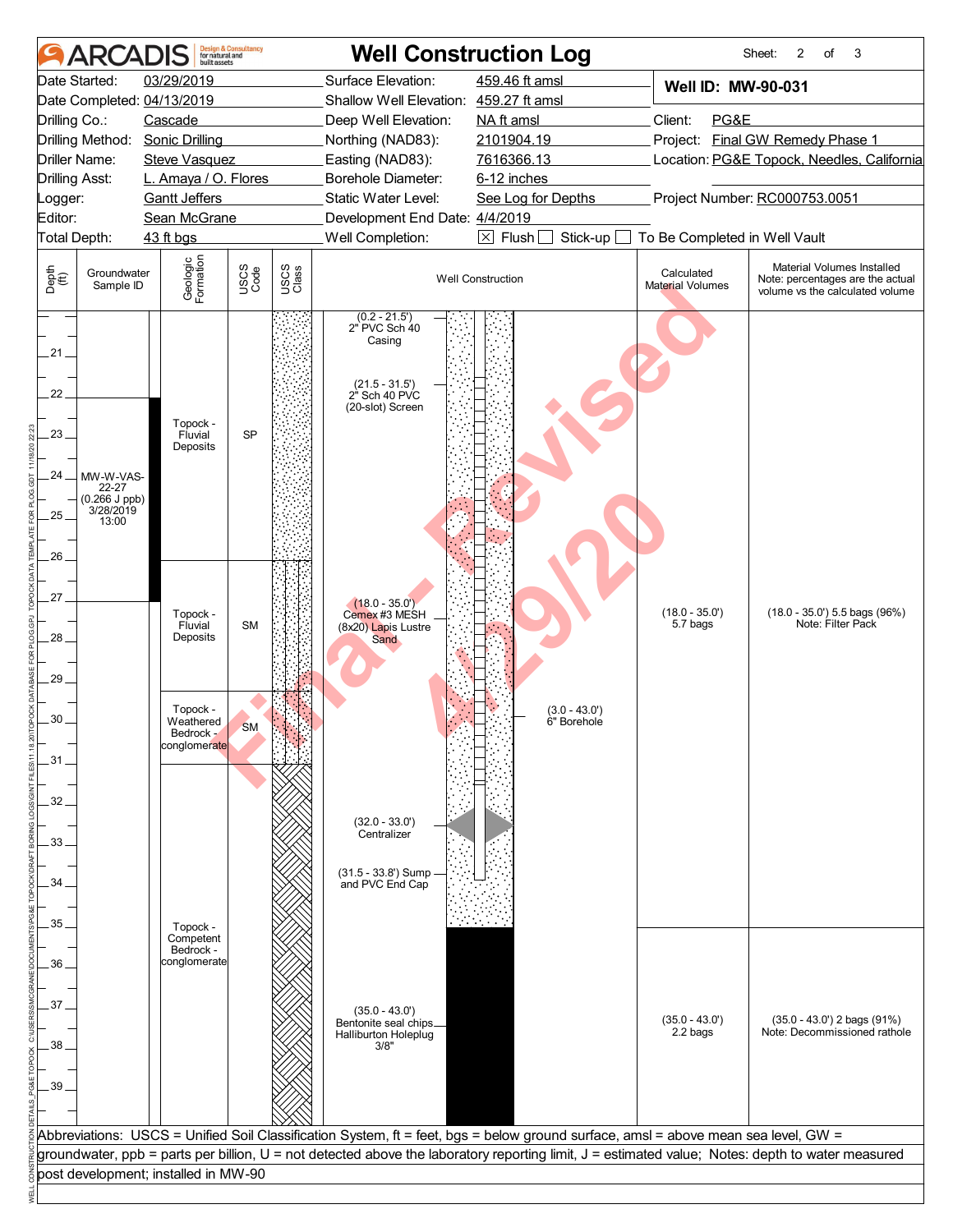|                                                                                                             | <b>ARCADIS</b>                                              | huilt assets                                                                                                             | <b>Design &amp; Consultancy</b><br>for natural and |               |                                                                                                                                                                                                                                                    | <b>Well Construction Log</b>                                                                                                                     |                                       | Sheet:<br>2<br>3<br>of                                                                            |  |  |
|-------------------------------------------------------------------------------------------------------------|-------------------------------------------------------------|--------------------------------------------------------------------------------------------------------------------------|----------------------------------------------------|---------------|----------------------------------------------------------------------------------------------------------------------------------------------------------------------------------------------------------------------------------------------------|--------------------------------------------------------------------------------------------------------------------------------------------------|---------------------------------------|---------------------------------------------------------------------------------------------------|--|--|
|                                                                                                             | Date Started:                                               | 03/29/2019                                                                                                               |                                                    |               | Surface Elevation:                                                                                                                                                                                                                                 | 459.46 ft amsl                                                                                                                                   | Well ID: MW-90-031                    |                                                                                                   |  |  |
|                                                                                                             |                                                             | Date Completed: 04/13/2019                                                                                               |                                                    |               | Shallow Well Elevation: 459.27 ft amsl                                                                                                                                                                                                             |                                                                                                                                                  |                                       |                                                                                                   |  |  |
| Drilling Co.:                                                                                               |                                                             | Cascade                                                                                                                  |                                                    |               | Deep Well Elevation:                                                                                                                                                                                                                               | NA ft amsl                                                                                                                                       | Client:<br>PG&E                       |                                                                                                   |  |  |
|                                                                                                             | Drilling Method:                                            | <b>Sonic Drilling</b>                                                                                                    |                                                    |               | Northing (NAD83):                                                                                                                                                                                                                                  | 2101904.19                                                                                                                                       |                                       | Project: Final GW Remedy Phase 1                                                                  |  |  |
| Driller Name:<br><b>Steve Vasquez</b>                                                                       |                                                             |                                                                                                                          |                                                    |               | Easting (NAD83):                                                                                                                                                                                                                                   | 7616366.13                                                                                                                                       |                                       | Location: PG&E Topock, Needles, California                                                        |  |  |
| L. Amaya / O. Flores<br><b>Drilling Asst:</b>                                                               |                                                             |                                                                                                                          |                                                    |               | Borehole Diameter:                                                                                                                                                                                                                                 | 6-12 inches                                                                                                                                      |                                       |                                                                                                   |  |  |
| _ogger:                                                                                                     |                                                             | <b>Gantt Jeffers</b>                                                                                                     |                                                    |               | Static Water Level:                                                                                                                                                                                                                                | See Log for Depths                                                                                                                               |                                       | Project Number: RC000753.0051                                                                     |  |  |
| Editor:                                                                                                     |                                                             | Sean McGrane                                                                                                             |                                                    |               | Development End Date: 4/4/2019                                                                                                                                                                                                                     |                                                                                                                                                  |                                       |                                                                                                   |  |  |
|                                                                                                             | Total Depth:                                                | 43 ft bgs                                                                                                                |                                                    |               | Well Completion:                                                                                                                                                                                                                                   | $\boxtimes$ Flush<br>Stick-up                                                                                                                    | To Be Completed in Well Vault         |                                                                                                   |  |  |
| Depth<br>$\bigoplus_{i=1}^{n}$                                                                              | Groundwater<br>Sample ID                                    | Geologic<br>Formation                                                                                                    | USCS<br>Code                                       | USCS<br>Class |                                                                                                                                                                                                                                                    | <b>Well Construction</b>                                                                                                                         | Calculated<br><b>Material Volumes</b> | Material Volumes Installed<br>Note: percentages are the actual<br>volume vs the calculated volume |  |  |
| .21.<br>22<br>23<br>$24$ .<br>25.<br>26.<br>27<br>28.<br>29<br>30<br>.31 <sub>1</sub><br>32<br>$33 -$<br>34 | MW-W-VAS-<br>22-27<br>$(0.266 J$ ppb)<br>3/28/2019<br>13:00 | Topock -<br>Fluvial<br>Deposits<br>Topock -<br>Fluvial<br>Deposits<br>Topock -<br>Weathered<br>Bedrock -<br>conglomerate | <b>SP</b><br><b>SM</b><br><b>SM</b>                |               | $(0.2 - 21.5')$<br>2" PVC Sch 40<br>Casing<br>(21.5 - 31.5')<br>2" Sch 40 PVC<br>(20-slot) Screen<br>$(18.0 - 35.0')$<br>Cemex #3 MESH<br>(8x20) Lapis Lustre<br>Sand<br>$(32.0 - 33.0')$<br>Centralizer<br>(31.5 - 33.8') Sump<br>and PVC End Cap | $(3.0 - 43.0')$<br>6" Borehole                                                                                                                   | $(18.0 - 35.0')$<br>5.7 bags          | (18.0 - 35.0') 5.5 bags (96%)<br>Note: Filter Pack                                                |  |  |
| 35<br>36                                                                                                    |                                                             | Topock -<br>Competent<br>Bedrock -<br>conglomerate                                                                       |                                                    |               |                                                                                                                                                                                                                                                    |                                                                                                                                                  |                                       |                                                                                                   |  |  |
| 37                                                                                                          |                                                             |                                                                                                                          |                                                    |               | $(35.0 - 43.0')$                                                                                                                                                                                                                                   |                                                                                                                                                  |                                       |                                                                                                   |  |  |
| 38                                                                                                          |                                                             |                                                                                                                          |                                                    |               | Bentonite seal chips_<br>Halliburton Holeplug<br>3/8"                                                                                                                                                                                              |                                                                                                                                                  | $(35.0 - 43.0')$<br>2.2 bags          | $(35.0 - 43.0')$ 2 bags $(91\%)$<br>Note: Decommissioned rathole                                  |  |  |
| 39                                                                                                          |                                                             |                                                                                                                          |                                                    |               |                                                                                                                                                                                                                                                    |                                                                                                                                                  |                                       |                                                                                                   |  |  |
|                                                                                                             |                                                             |                                                                                                                          |                                                    |               |                                                                                                                                                                                                                                                    |                                                                                                                                                  |                                       |                                                                                                   |  |  |
|                                                                                                             |                                                             |                                                                                                                          |                                                    |               |                                                                                                                                                                                                                                                    | Abbreviations: USCS = Unified Soil Classification System, ft = feet, bgs = below ground surface, amsl = above mean sea level, GW =               |                                       |                                                                                                   |  |  |
|                                                                                                             |                                                             |                                                                                                                          |                                                    |               |                                                                                                                                                                                                                                                    | groundwater, ppb = parts per billion, U = not detected above the laboratory reporting limit, J = estimated value; Notes: depth to water measured |                                       |                                                                                                   |  |  |
|                                                                                                             |                                                             | post development; installed in MW-90                                                                                     |                                                    |               |                                                                                                                                                                                                                                                    |                                                                                                                                                  |                                       |                                                                                                   |  |  |
|                                                                                                             |                                                             |                                                                                                                          |                                                    |               |                                                                                                                                                                                                                                                    |                                                                                                                                                  |                                       |                                                                                                   |  |  |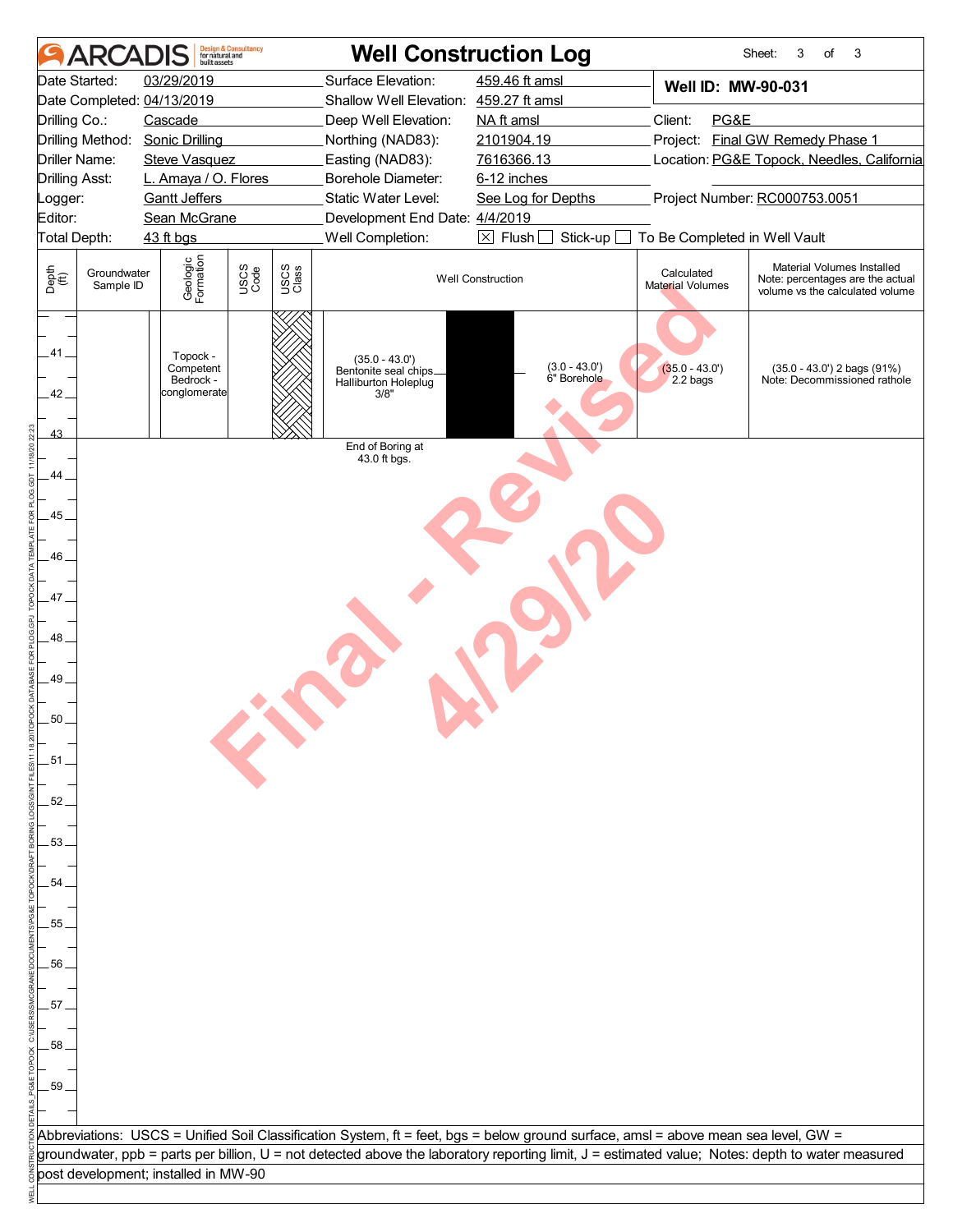|                                               | <b>ARCADIS</b>                            | built assets                                           | <b>Design &amp; Consultancy</b><br>for natural and |                      | <b>Well Construction Log</b>                                                                                                       |                                                                |                                       | Sheet:<br>3<br>of<br>3                                                                                                                           |  |  |  |
|-----------------------------------------------|-------------------------------------------|--------------------------------------------------------|----------------------------------------------------|----------------------|------------------------------------------------------------------------------------------------------------------------------------|----------------------------------------------------------------|---------------------------------------|--------------------------------------------------------------------------------------------------------------------------------------------------|--|--|--|
|                                               | Date Started:                             | 03/29/2019                                             |                                                    |                      | Surface Elevation:                                                                                                                 | 459.46 ft amsl                                                 | Well ID: MW-90-031                    |                                                                                                                                                  |  |  |  |
|                                               |                                           | Date Completed: 04/13/2019                             |                                                    |                      | Shallow Well Elevation: 459.27 ft amsl                                                                                             |                                                                |                                       |                                                                                                                                                  |  |  |  |
| Drilling Co.:                                 |                                           | Cascade                                                |                                                    |                      | Deep Well Elevation:                                                                                                               | NA ft amsl                                                     | Client:<br>PG&E                       |                                                                                                                                                  |  |  |  |
|                                               | Drilling Method:<br><b>Sonic Drilling</b> |                                                        |                                                    |                      | Northing (NAD83):                                                                                                                  | 2101904.19                                                     |                                       | Project: Final GW Remedy Phase 1                                                                                                                 |  |  |  |
| Driller Name:<br><b>Steve Vasquez</b>         |                                           |                                                        |                                                    |                      | Easting (NAD83):                                                                                                                   | 7616366.13                                                     |                                       | Location: PG&E Topock, Needles, California                                                                                                       |  |  |  |
| L. Amaya / O. Flores<br><b>Drilling Asst:</b> |                                           |                                                        |                                                    |                      | Borehole Diameter:                                                                                                                 | 6-12 inches                                                    |                                       |                                                                                                                                                  |  |  |  |
| Logger:                                       |                                           | <b>Gantt Jeffers</b>                                   |                                                    |                      | Static Water Level:                                                                                                                | See Log for Depths<br>Project Number: RC000753.0051            |                                       |                                                                                                                                                  |  |  |  |
| Editor:                                       |                                           | Sean McGrane                                           |                                                    |                      | Development End Date: 4/4/2019                                                                                                     |                                                                |                                       |                                                                                                                                                  |  |  |  |
| Total Depth:                                  |                                           | 43 ft bgs                                              |                                                    |                      | Well Completion:                                                                                                                   | $\boxtimes$ Flush<br>Stick-up<br>To Be Completed in Well Vault |                                       |                                                                                                                                                  |  |  |  |
|                                               |                                           |                                                        |                                                    |                      |                                                                                                                                    |                                                                |                                       |                                                                                                                                                  |  |  |  |
| Depth<br>(ff)                                 | Groundwater<br>Sample ID                  | Geologic<br>Formation<br>USCS<br>Code<br>USCS<br>Class |                                                    |                      |                                                                                                                                    | <b>Well Construction</b>                                       | Calculated<br><b>Material Volumes</b> | Material Volumes Installed<br>Note: percentages are the actual<br>volume vs the calculated volume                                                |  |  |  |
| 41.<br>42                                     |                                           | Topock -<br>Competent<br>Bedrock -<br>conglomerate     |                                                    |                      | $(35.0 - 43.0')$<br>Bentonite seal chips_<br>Halliburton Holeplug<br>3/8"                                                          | $(3.0 - 43.0')$<br>6" Borehole                                 | $(35.0 - 43.0')$<br>2.2 bags          | $(35.0 - 43.0')$ 2 bags $(91\%)$<br>Note: Decommissioned rathole                                                                                 |  |  |  |
| 43                                            |                                           |                                                        |                                                    |                      |                                                                                                                                    |                                                                |                                       |                                                                                                                                                  |  |  |  |
|                                               |                                           |                                                        |                                                    |                      | End of Boring at                                                                                                                   |                                                                |                                       |                                                                                                                                                  |  |  |  |
|                                               |                                           |                                                        |                                                    |                      | 43.0 ft bgs.                                                                                                                       |                                                                |                                       |                                                                                                                                                  |  |  |  |
| 44                                            |                                           |                                                        |                                                    |                      |                                                                                                                                    |                                                                |                                       |                                                                                                                                                  |  |  |  |
|                                               |                                           |                                                        |                                                    |                      |                                                                                                                                    |                                                                |                                       |                                                                                                                                                  |  |  |  |
| 45.                                           |                                           |                                                        |                                                    |                      |                                                                                                                                    |                                                                |                                       |                                                                                                                                                  |  |  |  |
|                                               |                                           |                                                        |                                                    |                      |                                                                                                                                    |                                                                |                                       |                                                                                                                                                  |  |  |  |
| 46                                            |                                           |                                                        |                                                    |                      |                                                                                                                                    |                                                                |                                       |                                                                                                                                                  |  |  |  |
|                                               |                                           |                                                        |                                                    |                      |                                                                                                                                    |                                                                |                                       |                                                                                                                                                  |  |  |  |
| 47                                            |                                           |                                                        |                                                    |                      |                                                                                                                                    |                                                                |                                       |                                                                                                                                                  |  |  |  |
| 48                                            |                                           |                                                        |                                                    |                      |                                                                                                                                    |                                                                |                                       |                                                                                                                                                  |  |  |  |
| 49                                            |                                           |                                                        |                                                    |                      |                                                                                                                                    |                                                                |                                       |                                                                                                                                                  |  |  |  |
|                                               |                                           |                                                        |                                                    |                      |                                                                                                                                    |                                                                |                                       |                                                                                                                                                  |  |  |  |
| 50                                            |                                           |                                                        |                                                    |                      |                                                                                                                                    |                                                                |                                       |                                                                                                                                                  |  |  |  |
|                                               |                                           |                                                        |                                                    | $\blacktriangledown$ |                                                                                                                                    |                                                                |                                       |                                                                                                                                                  |  |  |  |
| .51                                           |                                           |                                                        |                                                    |                      |                                                                                                                                    |                                                                |                                       |                                                                                                                                                  |  |  |  |
|                                               |                                           |                                                        |                                                    |                      |                                                                                                                                    |                                                                |                                       |                                                                                                                                                  |  |  |  |
|                                               |                                           |                                                        |                                                    |                      |                                                                                                                                    |                                                                |                                       |                                                                                                                                                  |  |  |  |
| 52                                            |                                           |                                                        |                                                    |                      |                                                                                                                                    |                                                                |                                       |                                                                                                                                                  |  |  |  |
|                                               |                                           |                                                        |                                                    |                      |                                                                                                                                    |                                                                |                                       |                                                                                                                                                  |  |  |  |
| 53                                            |                                           |                                                        |                                                    |                      |                                                                                                                                    |                                                                |                                       |                                                                                                                                                  |  |  |  |
|                                               |                                           |                                                        |                                                    |                      |                                                                                                                                    |                                                                |                                       |                                                                                                                                                  |  |  |  |
| 54                                            |                                           |                                                        |                                                    |                      |                                                                                                                                    |                                                                |                                       |                                                                                                                                                  |  |  |  |
|                                               |                                           |                                                        |                                                    |                      |                                                                                                                                    |                                                                |                                       |                                                                                                                                                  |  |  |  |
| 55                                            |                                           |                                                        |                                                    |                      |                                                                                                                                    |                                                                |                                       |                                                                                                                                                  |  |  |  |
|                                               |                                           |                                                        |                                                    |                      |                                                                                                                                    |                                                                |                                       |                                                                                                                                                  |  |  |  |
| 56                                            |                                           |                                                        |                                                    |                      |                                                                                                                                    |                                                                |                                       |                                                                                                                                                  |  |  |  |
|                                               |                                           |                                                        |                                                    |                      |                                                                                                                                    |                                                                |                                       |                                                                                                                                                  |  |  |  |
| 57                                            |                                           |                                                        |                                                    |                      |                                                                                                                                    |                                                                |                                       |                                                                                                                                                  |  |  |  |
|                                               |                                           |                                                        |                                                    |                      |                                                                                                                                    |                                                                |                                       |                                                                                                                                                  |  |  |  |
| 58                                            |                                           |                                                        |                                                    |                      |                                                                                                                                    |                                                                |                                       |                                                                                                                                                  |  |  |  |
|                                               |                                           |                                                        |                                                    |                      |                                                                                                                                    |                                                                |                                       |                                                                                                                                                  |  |  |  |
| 59.                                           |                                           |                                                        |                                                    |                      |                                                                                                                                    |                                                                |                                       |                                                                                                                                                  |  |  |  |
|                                               |                                           |                                                        |                                                    |                      |                                                                                                                                    |                                                                |                                       |                                                                                                                                                  |  |  |  |
|                                               |                                           |                                                        |                                                    |                      |                                                                                                                                    |                                                                |                                       |                                                                                                                                                  |  |  |  |
|                                               |                                           |                                                        |                                                    |                      | Abbreviations: USCS = Unified Soil Classification System, ft = feet, bgs = below ground surface, amsl = above mean sea level, GW = |                                                                |                                       |                                                                                                                                                  |  |  |  |
|                                               |                                           |                                                        |                                                    |                      |                                                                                                                                    |                                                                |                                       | groundwater, ppb = parts per billion, U = not detected above the laboratory reporting limit, J = estimated value; Notes: depth to water measured |  |  |  |
|                                               |                                           | post development; installed in MW-90                   |                                                    |                      |                                                                                                                                    |                                                                |                                       |                                                                                                                                                  |  |  |  |
|                                               |                                           |                                                        |                                                    |                      |                                                                                                                                    |                                                                |                                       |                                                                                                                                                  |  |  |  |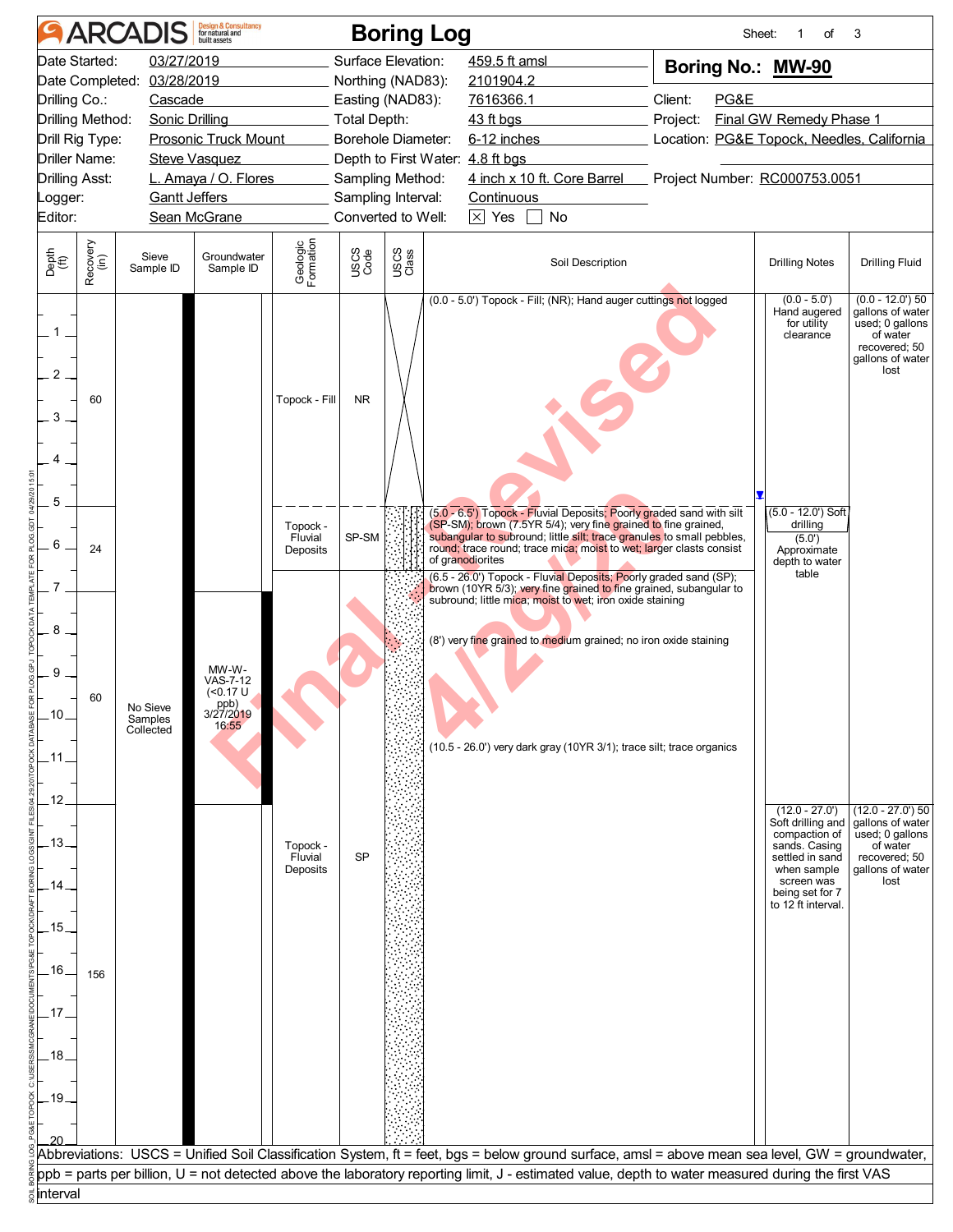|                                                                                                                                                                               | <b>ARCADIS</b>                   | <b>Design &amp; Consultancy</b><br>for natural and                             |                                 |              | <b>Boring Log</b>                                                                                |                                                                                                                                                                                                                                                                                                                                                                                                                                                                                                                   | Sheet:                                           | of<br>1                                                                                                                                                         | 3                                                                                                                  |  |
|-------------------------------------------------------------------------------------------------------------------------------------------------------------------------------|----------------------------------|--------------------------------------------------------------------------------|---------------------------------|--------------|--------------------------------------------------------------------------------------------------|-------------------------------------------------------------------------------------------------------------------------------------------------------------------------------------------------------------------------------------------------------------------------------------------------------------------------------------------------------------------------------------------------------------------------------------------------------------------------------------------------------------------|--------------------------------------------------|-----------------------------------------------------------------------------------------------------------------------------------------------------------------|--------------------------------------------------------------------------------------------------------------------|--|
| 03/27/2019<br>Date Started:<br>Date Completed: 03/28/2019<br>Drilling Co.:<br>Cascade<br>Drilling Method:<br>Sonic Drilling<br>Drill Rig Type:<br><b>Prosonic Truck Mount</b> |                                  |                                                                                |                                 | Total Depth: | Surface Elevation:<br>Northing (NAD83):<br>Easting (NAD83):<br>Borehole Diameter:                | 459.5 ft amsl<br>2101904.2<br>7616366.1<br>$43$ ft bgs<br>6-12 inches                                                                                                                                                                                                                                                                                                                                                                                                                                             | Boring No.: MW-90<br>Client:<br>PG&E<br>Project: | Final GW Remedy Phase 1<br>Location: PG&E Topock, Needles, California                                                                                           |                                                                                                                    |  |
| Driller Name:<br><b>Steve Vasquez</b><br>L. Amaya / O. Flores<br><b>Drilling Asst:</b><br><b>Gantt Jeffers</b><br>Logger:<br>Sean McGrane<br>Editor:                          |                                  |                                                                                |                                 |              | Depth to First Water: 4.8 ft bgs<br>Sampling Method:<br>Sampling Interval:<br>Converted to Well: | 4 inch x 10 ft. Core Barrel Project Number: RC000753.0051<br><b>Continuous</b><br>$\boxtimes$ Yes<br>$\Box$ No                                                                                                                                                                                                                                                                                                                                                                                                    |                                                  |                                                                                                                                                                 |                                                                                                                    |  |
| Recovery<br>(in)<br>Depth<br>(ft)                                                                                                                                             | Sieve<br>Sample ID               | Groundwater<br>Sample ID                                                       | Geologic<br>Formation           | USCS<br>Code | USCS<br>Class                                                                                    | Soil Description                                                                                                                                                                                                                                                                                                                                                                                                                                                                                                  |                                                  | <b>Drilling Notes</b>                                                                                                                                           | <b>Drilling Fluid</b>                                                                                              |  |
| 1<br>2<br>60<br>3<br>4                                                                                                                                                        |                                  |                                                                                | Topock - Fill                   | <b>NR</b>    |                                                                                                  | (0.0 - 5.0') Topock - Fill; (NR); Hand auger cuttings not logged                                                                                                                                                                                                                                                                                                                                                                                                                                                  |                                                  | $(0.0 - 5.0')$<br>Hand augered<br>for utility<br>clearance                                                                                                      | $(0.0 - 12.0)$ 50<br>gallons of water<br>used; 0 gallons<br>of water<br>recovered; 50<br>gallons of water<br>lost  |  |
| 5<br>6<br>24                                                                                                                                                                  |                                  |                                                                                | Topock -<br>Fluvial<br>Deposits | SP-SM        |                                                                                                  | (5.0 - 6.5') Topock - Fluvial Deposits; Poorly graded sand with silt<br>(SP-SM); brown (7.5YR 5/4); very fine grained to fine grained,<br>subangular to subround; little silt; trace granules to small pebbles,<br>round; trace round; trace mica; moist to wet; larger clasts consist<br>of granodiorites<br>(6.5 - 26.0') Topock - Fluvial Deposits; Poorly graded sand (SP);<br>brown (10YR 5/3); very fine grained to fine grained, subangular to<br>subround; little mica; moist to wet; iron oxide staining |                                                  | $(5.0 - 12.0)$ Soft<br>drilling<br>(5.0')<br>Approximate<br>depth to water<br>table                                                                             |                                                                                                                    |  |
| 8<br>9<br>60<br>.10_<br>.11                                                                                                                                                   | No Sieve<br>Samples<br>Collected | MW-W-<br><b>VAS-7-12</b><br>( <sub>0.17</sub> U)<br>ppb)<br>3/27/2019<br>16:55 |                                 |              |                                                                                                  | (8') very fine grained to medium grained; no iron oxide staining<br>(10.5 - 26.0') very dark gray (10YR 3/1); trace silt; trace organics                                                                                                                                                                                                                                                                                                                                                                          |                                                  |                                                                                                                                                                 |                                                                                                                    |  |
| .12<br>.13.<br>.14<br>.15.                                                                                                                                                    |                                  |                                                                                | Topock -<br>Fluvial<br>Deposits | <b>SP</b>    |                                                                                                  |                                                                                                                                                                                                                                                                                                                                                                                                                                                                                                                   |                                                  | $(12.0 - 27.0)$<br>Soft drilling and<br>compaction of<br>sands. Casing<br>settled in sand<br>when sample<br>screen was<br>being set for 7<br>to 12 ft interval. | $(12.0 - 27.0)$ 50<br>gallons of water<br>used; 0 gallons<br>of water<br>recovered; 50<br>gallons of water<br>lost |  |
| .16.<br>156<br>.17<br>.18<br>.19                                                                                                                                              |                                  |                                                                                |                                 |              |                                                                                                  |                                                                                                                                                                                                                                                                                                                                                                                                                                                                                                                   |                                                  |                                                                                                                                                                 |                                                                                                                    |  |
|                                                                                                                                                                               |                                  |                                                                                |                                 |              |                                                                                                  | Abbreviations:  USCS = Unified Soil Classification System, ft = feet, bgs = below ground surface, amsl = above mean sea level, GW = groundwater,<br>ppb = parts per billion, U = not detected above the laboratory reporting limit, J - estimated value, depth to water measured during the first VAS                                                                                                                                                                                                             |                                                  |                                                                                                                                                                 |                                                                                                                    |  |
| interval                                                                                                                                                                      |                                  |                                                                                |                                 |              |                                                                                                  |                                                                                                                                                                                                                                                                                                                                                                                                                                                                                                                   |                                                  |                                                                                                                                                                 |                                                                                                                    |  |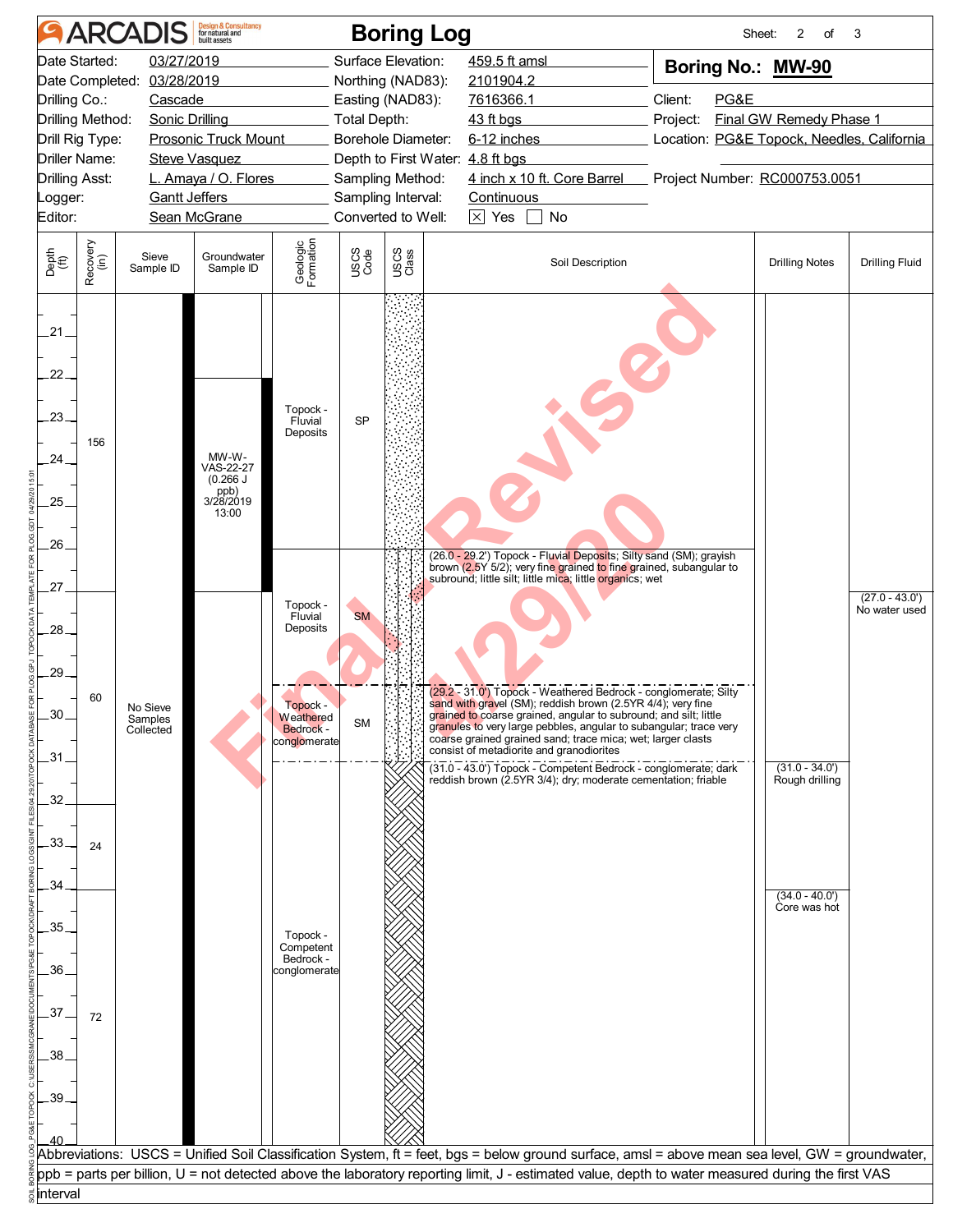